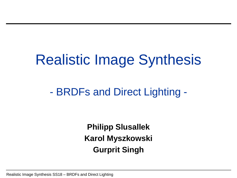## Realistic Image Synthesis

### - BRDFs and Direct Lighting -

**Philipp Slusallek Karol Myszkowski Gurprit Singh**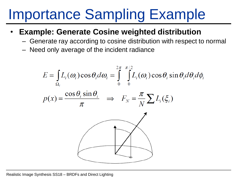## Importance Sampling Example

- **Example: Generate Cosine weighted distribution**
	- Generate ray according to cosine distribution with respect to normal
	- Need only average of the incident radiance

$$
E = \int_{\Omega_i} L_i(\omega_i) \cos \theta_i d\omega_i = \int_{0}^{2\pi} \int_{0}^{\pi/2} L_i(\omega_i) \cos \theta_i \sin \theta_i d\theta_i d\phi_i
$$

$$
p(x) = \frac{\cos \theta_i \sin \theta_i}{\pi} \implies F_N = \frac{\pi}{N} \sum_{i} L_i(\xi_i)
$$

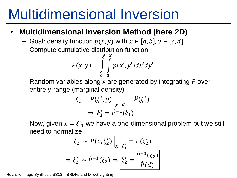### Multidimensional Inversion

#### • **Multidimensional Inversion Method (here 2D)**

- Goal: density function  $p(x, y)$  with  $x \in [a, b]$ ,  $y \in [c, d]$
- Compute cumulative distribution function

$$
P(x, y) = \int\limits_{c}^{y} \int\limits_{a}^{x} p(x', y') dx' dy'
$$

 $-$  Random variables along x are generated by integrating P over entire y-range (marginal density)

$$
\xi_1 = P(\xi'_1, y) \Big|_{y=d} = \hat{P}(\xi'_1)
$$

$$
\Rightarrow \boxed{\xi'_1 = \hat{P}^{-1}(\xi_1)}
$$

– Now, given  $x = \xi'_1$  we have a one-dimensional problem but we still need to normalize

$$
\xi_2 \sim P(x, \xi_2')\Big|_{x=\xi_1'} = \tilde{P}(\xi_2')
$$
  

$$
\Rightarrow \xi_2' \sim \tilde{P}^{-1}(\xi_2) \Rightarrow \boxed{\xi_2' = \frac{\tilde{P}^{-1}(\xi_2)}{\tilde{P}(d)}}
$$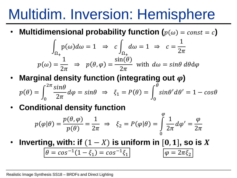### Multidim. Inversion: Hemisphere

• Multidimensional probability function  $(p(\omega) = const = c)$ 

$$
\int_{\Omega_+} p(\omega) d\omega = 1 \implies c \int_{\Omega_+} d\omega = 1 \implies c = \frac{1}{2\pi}
$$

$$
p(\omega) = \frac{1}{2\pi} \implies p(\theta, \varphi) = \frac{\sin(\theta)}{2\pi} \text{ with } d\omega = \sin\theta \, d\theta d\varphi
$$

• Marginal density function (integrating out  $\varphi$ )

$$
p(\theta) = \int_0^{2\pi} \frac{\sin \theta}{2\pi} d\varphi = \sin \theta \implies \xi_1 = P(\theta) = \int_0^{\theta} \sin \theta' d\theta' = 1 - \cos \theta
$$

• **Conditional density function**

$$
p(\varphi|\theta) = \frac{p(\theta,\varphi)}{p(\theta)} = \frac{1}{2\pi} \implies \xi_2 = P(\varphi|\theta) = \int_{0}^{\varphi} \frac{1}{2\pi} d\varphi' = \frac{\varphi}{2\pi}
$$

• Inverting, with: if  $(1 - X)$  is uniform in  $[0, 1]$ , so is X

$$
\theta = \cos^{-1}(1 - \xi_1) = \cos^{-1}\xi_1 \qquad \qquad \varphi = 2\pi\xi_2
$$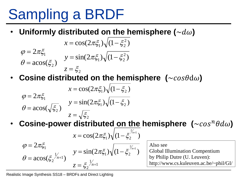## Sampling a BRDF

Uniformly distributed on the hemisphere  $(\sim d\omega)$ 

$$
x = \cos(2\pi\xi_1)\sqrt{(1 - \xi_2^2)}
$$
  
\n
$$
\varphi = 2\pi\xi_1
$$
  
\n
$$
y = \sin(2\pi\xi_1)\sqrt{(1 - \xi_2^2)}
$$
  
\n
$$
z = \xi_2
$$

**Cosine distributed on the hemisphere (** $\sim$ cos $\theta$ d $\omega$ )

$$
\varphi = 2\pi\xi_1
$$
  
\n
$$
\varphi = 2\pi\xi_1
$$
  
\n
$$
\varphi = \arccos(\sqrt{\xi_2})
$$
  
\n
$$
y = \sin(2\pi\xi_1)\sqrt{(1 - \xi_2)}
$$
  
\n
$$
z = \sqrt{\xi_2}
$$

• Cosine-power distributed on the hemisphere  $(\sim cos^n \theta d\omega)$ 

$$
\varphi = 2\pi \xi_1
$$
\n
$$
\varphi = 2\pi \xi_1
$$
\n
$$
y = \sin(2\pi \xi_1) \sqrt{(1 - \xi_2^{2n+1})}
$$
\nAlso see  
\n
$$
\theta = \arccos(\xi_2^{1/n+1})
$$
\n
$$
z = \xi_2^{1/n+1}
$$
\n
$$
y = \sin(2\pi \xi_1) \sqrt{(1 - \xi_2^{2/n+1})}
$$
\n
$$
\text{Also see}
$$
\n
$$
\text{Global Illu}
$$
\nby Philip D

 $= \sin(2\pi \xi_1)\sqrt{(1-\xi_2^{\gamma n+1})}$  Global Illumination Compentium Also see by Philip Dutre (U. Leuven): http://www.cs.kuleuven.ac.be/~phil/GI/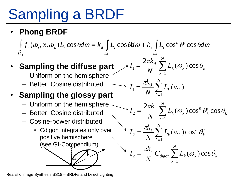# Sampling a BRDF

• **Phong BRDF**

 $\int f_r(\omega_i, x, \omega_o) L_i \cos \theta d\omega = k_d \int L_i \cos \theta d\omega + k_s \int L_i \cos^n \theta' \cos \theta d\omega$  $\Omega_{+}$   $\Omega_{+}$   $\Omega_{+}$ *N*  $k_d \sum_{l=1}^{N}$  $2\pi k_d \sum_{l=1}^{N}$ 

- **Sampling the diffuse part**  $\mathcal{J}I_1 = \frac{2\pi k_d}{N} \sum L_k(\omega_k) \cos \theta_k$ 
	- Uniform on the hemisphere
	-

### • **Sampling the glossy part**

- $-$  Uniform on the hemisphere  $\sim$
- Better: Cosine distributed
- Cosine-power distributed
	- Cdigon integrates only over positive hemisphere  $\diagdown$ (see GI-Compendium)

θ

θ'

Realistic Image Synthesis SS18 – BRDFs and Direct Lighting

\n- \n Better: Cosine distributed\n 
$$
I_1 = \frac{\pi k_d}{N} \sum_{k=1}^{N} L_k(\omega_k)
$$
\n
\n- \n 3ampling the glossy part\n
	\n- \n Uniform on the hemisphere\n  $I_2 = \frac{2\pi k_s}{N} \sum_{k=1}^{N} L_k(\omega_k) \cos^n \theta'_k \cos \theta_k$ \n
	\n- \n Better: Cosine distributed\n
		\n- \n Cosine-power distributed\n  $I_2 = \frac{\pi k_s}{N} \sum_{k=1}^{N} L_k(\omega_k) \cos^n \theta'_k$ \n
		\n- \n positive hemisphere\n (see Gl-Compendium)\n  $I_2 = \frac{\pi k_s}{N} \sum_{k=1}^{N} L_k(\omega_k) \cos \theta_k$ \n
		\n\n
	\n

 $=1$ 

1

 $N \sum_{k=1}^{N} k^{(c)} k^{j}$ 

*N*

 $k=1$ 

 $k_d \sum_{l=1}^{N}$ 

 $I_1 = \frac{2\pi a}{\sigma^2}$ 

 $=\frac{2\pi k_d}{N} \sum L_k(\omega_k) \cos \theta_k$ 

 $\epsilon_1 = \frac{2\pi\epsilon_d}{N} \sum L_k(\omega_k) \cos \theta_k$ 

 $\alpha_k$   $\omega_k$   $\omega$   $\omega_k$  $\frac{d}{d}\sum L_k(\omega_k)\cos\theta_k$ 

 $\frac{\pi k_d}{\sum}$   $\sum$   $L_i(\omega_i)\cos\theta_i$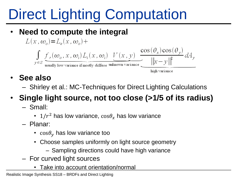#### • **Need to compute the integral**

 $L(x, \omega_{\scriptscriptstyle{\alpha}}) = L_{\scriptscriptstyle{\beta}}(x, \omega_{\scriptscriptstyle{\alpha}}) +$ 

$$
\int_{y \in S} \underbrace{f_r(\omega_o, x, \omega_i)}_{\text{usually low variance if mostly diffuse unknown variance}} \frac{\cos(\theta_x) \cos(\theta_y)}{||x - y||^2} dA_y
$$

high variance

- **See also**
	- Shirley et al.: MC-Techniques for Direct Lighting Calculations

### • **Single light source, not too close (>1/5 of its radius)**

- Small:
	- 1/ $r^2$  has low variance,  $cos\theta_x$  has low variance
- Planar:
	- $cos\theta_v$  has low variance too
	- Choose samples uniformly on light source geometry
		- Sampling directions could have high variance
- For curved light sources
	- Take into account orientation/normal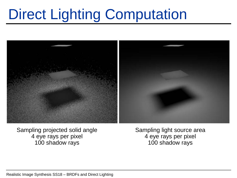

Sampling projected solid angle 4 eye rays per pixel 100 shadow rays

Sampling light source area 4 eye rays per pixel 100 shadow rays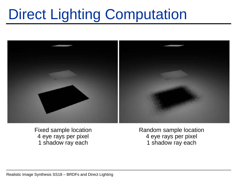

Fixed sample location 4 eye rays per pixel 1 shadow ray each

Random sample location 4 eye rays per pixel 1 shadow ray each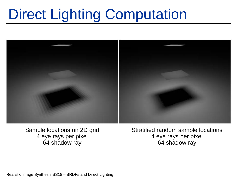

Sample locations on 2D grid 4 eye rays per pixel 64 shadow ray

Stratified random sample locations 4 eye rays per pixel 64 shadow ray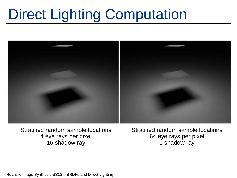

Stratified random sample locations 4 eye rays per pixel 16 shadow ray

Stratified random sample locations 64 eye rays per pixel 1 shadow ray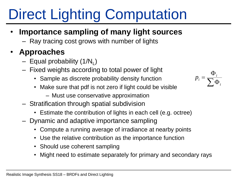#### • **Importance sampling of many light sources**

– Ray tracing cost grows with number of lights

#### • **Approaches**

- Equal probability (1/N<sub>L</sub>)
- Fixed weights according to total power of light
	- Sample as discrete probability density function
	- Make sure that pdf is not zero if light could be visible
		- Must use conservative approximation
- Stratification through spatial subdivision
	- Estimate the contribution of lights in each cell (e.g. octree)
- Dynamic and adaptive importance sampling
	- Compute a running average of irradiance at nearby points
	- Use the relative contribution as the importance function
	- Should use coherent sampling
	- Might need to estimate separately for primary and secondary rays